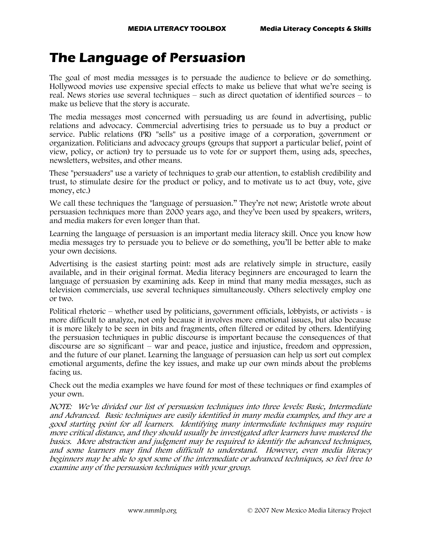## **The Language of Persuasion**

The goal of most media messages is to persuade the audience to believe or do something. Hollywood movies use expensive special effects to make us believe that what we're seeing is real. News stories use several techniques – such as direct quotation of identified sources – to make us believe that the story is accurate.

The media messages most concerned with persuading us are found in advertising, public relations and advocacy. Commercial advertising tries to persuade us to buy a product or service. Public relations (PR) "sells" us a positive image of a corporation, government or organization. Politicians and advocacy groups (groups that support a particular belief, point of view, policy, or action) try to persuade us to vote for or support them, using ads, speeches, newsletters, websites, and other means.

These "persuaders" use a variety of techniques to grab our attention, to establish credibility and trust, to stimulate desire for the product or policy, and to motivate us to act (buy, vote, give money, etc.)

We call these techniques the "language of persuasion." They're not new; Aristotle wrote about persuasion techniques more than 2000 years ago, and they've been used by speakers, writers, and media makers for even longer than that.

Learning the language of persuasion is an important media literacy skill. Once you know how media messages try to persuade you to believe or do something, you'll be better able to make your own decisions.

Advertising is the easiest starting point: most ads are relatively simple in structure, easily available, and in their original format. Media literacy beginners are encouraged to learn the language of persuasion by examining ads. Keep in mind that many media messages, such as television commercials, use several techniques simultaneously. Others selectively employ one or two.

Political rhetoric – whether used by politicians, government officials, lobbyists, or activists - is more difficult to analyze, not only because it involves more emotional issues, but also because it is more likely to be seen in bits and fragments, often filtered or edited by others. Identifying the persuasion techniques in public discourse is important because the consequences of that discourse are so significant – war and peace, justice and injustice, freedom and oppression, and the future of our planet. Learning the language of persuasion can help us sort out complex emotional arguments, define the key issues, and make up our own minds about the problems facing us.

Check out the media examples we have found for most of these techniques or find examples of your own.

NOTE: We've divided our list of persuasion techniques into three levels: Basic, Intermediate and Advanced. Basic techniques are easily identified in many media examples, and they are a good starting point for all learners. Identifying many intermediate techniques may require more critical distance, and they should usually be investigated after learners have mastered the basics. More abstraction and judgment may be required to identify the advanced techniques, and some learners may find them difficult to understand. However, even media literacy beginners may be able to spot some of the intermediate or advanced techniques, so feel free to examine any of the persuasion techniques with your group.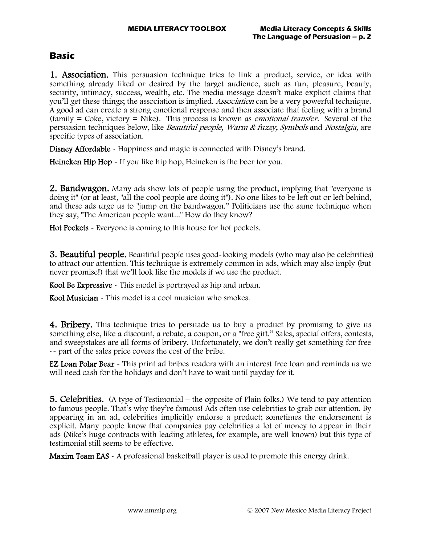## **Basic**

**1. Association.** This persuasion technique tries to link a product, service, or idea with something already liked or desired by the target audience, such as fun, pleasure, beauty, security, intimacy, success, wealth, etc. The media message doesn't make explicit claims that you'll get these things; the association is implied. *Association* can be a very powerful technique. A good ad can create a strong emotional response and then associate that feeling with a brand  $(family = Coke, victory = Mike)$ . This process is known as *emotional transfer*. Several of the persuasion techniques below, like Beautiful people, Warm & fuzzy, Symbols and Nostalgia, are specific types of association.

Disney Affordable - Happiness and magic is connected with Disney's brand.

Heineken Hip Hop - If you like hip hop, Heineken is the beer for you.

**2. Bandwagon.** Many ads show lots of people using the product, implying that "everyone is doing it" (or at least, "all the cool people are doing it"). No one likes to be left out or left behind, and these ads urge us to "jump on the bandwagon." Politicians use the same technique when they say, "The American people want..." How do they know?

Hot Pockets - Everyone is coming to this house for hot pockets.

**3. Beautiful people.** Beautiful people uses good-looking models (who may also be celebrities) to attract our attention. This technique is extremely common in ads, which may also imply (but never promise!) that we'll look like the models if we use the product.

Kool Be Expressive - This model is portrayed as hip and urban.

Kool Musician - This model is a cool musician who smokes.

**4. Bribery.** This technique tries to persuade us to buy a product by promising to give us something else, like a discount, a rebate, a coupon, or a "free gift." Sales, special offers, contests, and sweepstakes are all forms of bribery. Unfortunately, we don't really get something for free -- part of the sales price covers the cost of the bribe.

**EZ Loan Polar Bear** - This print ad bribes readers with an interest free loan and reminds us we will need cash for the holidays and don't have to wait until payday for it.

**5. Celebrities.** (A type of Testimonial – the opposite of Plain folks.) We tend to pay attention to famous people. That's why they're famous! Ads often use celebrities to grab our attention. By appearing in an ad, celebrities implicitly endorse a product; sometimes the endorsement is explicit. Many people know that companies pay celebrities a lot of money to appear in their ads (Nike's huge contracts with leading athletes, for example, are well known) but this type of testimonial still seems to be effective.

Maxim Team EAS - A professional basketball player is used to promote this energy drink.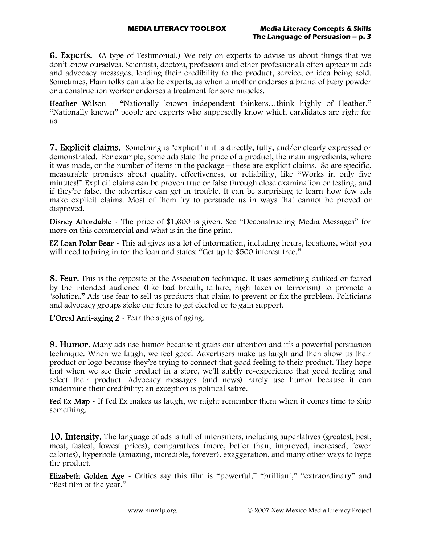6. Experts. (A type of Testimonial.) We rely on experts to advise us about things that we don't know ourselves. Scientists, doctors, professors and other professionals often appear in ads and advocacy messages, lending their credibility to the product, service, or idea being sold. Sometimes, Plain folks can also be experts, as when a mother endorses a brand of baby powder or a construction worker endorses a treatment for sore muscles.

Heather Wilson - "Nationally known independent thinkers...think highly of Heather." "Nationally known" people are experts who supposedly know which candidates are right for us.

7. Explicit claims. Something is "explicit" if it is directly, fully, and/or clearly expressed or demonstrated. For example, some ads state the price of a product, the main ingredients, where it was made, or the number of items in the package – these are explicit claims. So are specific, measurable promises about quality, effectiveness, or reliability, like "Works in only five minutes!" Explicit claims can be proven true or false through close examination or testing, and if they're false, the advertiser can get in trouble. It can be surprising to learn how few ads make explicit claims. Most of them try to persuade us in ways that cannot be proved or disproved.

Disney Affordable - The price of \$1,600 is given. See "Deconstructing Media Messages" for more on this commercial and what is in the fine print.

EZ Loan Polar Bear - This ad gives us a lot of information, including hours, locations, what you will need to bring in for the loan and states: "Get up to \$500 interest free."

**8. Fear.** This is the opposite of the Association technique. It uses something disliked or feared by the intended audience (like bad breath, failure, high taxes or terrorism) to promote a "solution." Ads use fear to sell us products that claim to prevent or fix the problem. Politicians and advocacy groups stoke our fears to get elected or to gain support.

L'Oreal Anti-aging 2 - Fear the signs of aging.

**9. Humor.** Many ads use humor because it grabs our attention and it's a powerful persuasion technique. When we laugh, we feel good. Advertisers make us laugh and then show us their product or logo because they're trying to connect that good feeling to their product. They hope that when we see their product in a store, we'll subtly re-experience that good feeling and select their product. Advocacy messages (and news) rarely use humor because it can undermine their credibility; an exception is political satire.

Fed Ex Map - If Fed Ex makes us laugh, we might remember them when it comes time to ship something.

10. Intensity. The language of ads is full of intensifiers, including superlatives (greatest, best, most, fastest, lowest prices), comparatives (more, better than, improved, increased, fewer calories), hyperbole (amazing, incredible, forever), exaggeration, and many other ways to hype the product.

Elizabeth Golden Age - Critics say this film is "powerful," "brilliant," "extraordinary" and "Best film of the year."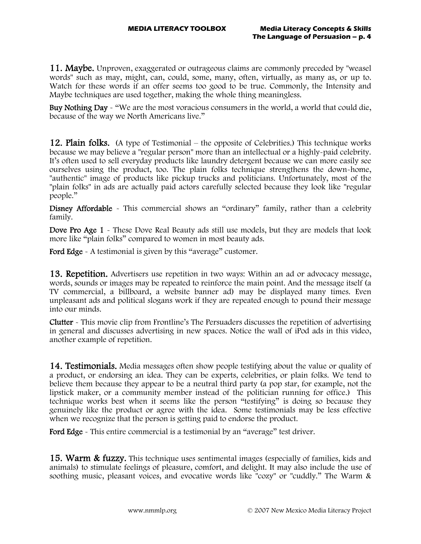11. Maybe. Unproven, exaggerated or outrageous claims are commonly preceded by "weasel words" such as may, might, can, could, some, many, often, virtually, as many as, or up to. Watch for these words if an offer seems too good to be true. Commonly, the Intensity and Maybe techniques are used together, making the whole thing meaningless.

Buy Nothing Day - "We are the most voracious consumers in the world, a world that could die, because of the way we North Americans live."

**12. Plain folks.** (A type of Testimonial – the opposite of Celebrities.) This technique works because we may believe a "regular person" more than an intellectual or a highly-paid celebrity. It's often used to sell everyday products like laundry detergent because we can more easily see ourselves using the product, too. The plain folks technique strengthens the down-home, "authentic" image of products like pickup trucks and politicians. Unfortunately, most of the "plain folks" in ads are actually paid actors carefully selected because they look like "regular people."

Disney Affordable - This commercial shows an "ordinary" family, rather than a celebrity family.

Dove Pro Age 1 - These Dove Real Beauty ads still use models, but they are models that look more like "plain folks" compared to women in most beauty ads.

Ford Edge - A testimonial is given by this "average" customer.

**13. Repetition.** Advertisers use repetition in two ways: Within an ad or advocacy message, words, sounds or images may be repeated to reinforce the main point. And the message itself (a TV commercial, a billboard, a website banner ad) may be displayed many times. Even unpleasant ads and political slogans work if they are repeated enough to pound their message into our minds.

Clutter - This movie clip from Frontline's The Persuaders discusses the repetition of advertising in general and discusses advertising in new spaces. Notice the wall of iPod ads in this video, another example of repetition.

**14. Testimonials.** Media messages often show people testifying about the value or quality of a product, or endorsing an idea. They can be experts, celebrities, or plain folks. We tend to believe them because they appear to be a neutral third party (a pop star, for example, not the lipstick maker, or a community member instead of the politician running for office.) This technique works best when it seems like the person "testifying" is doing so because they genuinely like the product or agree with the idea. Some testimonials may be less effective when we recognize that the person is getting paid to endorse the product.

Ford Edge - This entire commercial is a testimonial by an "average" test driver.

15. Warm & fuzzy. This technique uses sentimental images (especially of families, kids and animals) to stimulate feelings of pleasure, comfort, and delight. It may also include the use of soothing music, pleasant voices, and evocative words like "cozy" or "cuddly." The Warm &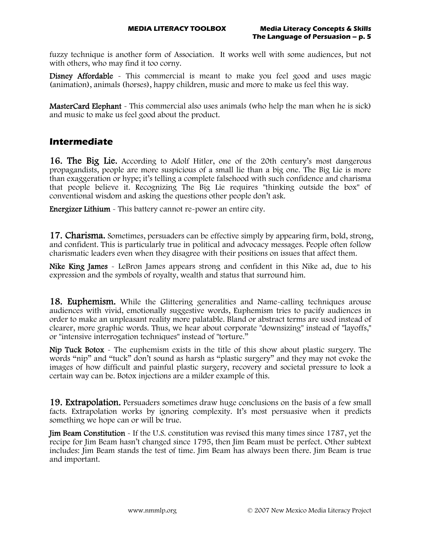fuzzy technique is another form of Association. It works well with some audiences, but not with others, who may find it too corny.

Disney Affordable - This commercial is meant to make you feel good and uses magic (animation), animals (horses), happy children, music and more to make us feel this way.

MasterCard Elephant - This commercial also uses animals (who help the man when he is sick) and music to make us feel good about the product.

## **Intermediate**

**16. The Big Lie.** According to Adolf Hitler, one of the 20th century's most dangerous propagandists, people are more suspicious of a small lie than a big one. The Big Lie is more than exaggeration or hype; it's telling a complete falsehood with such confidence and charisma that people believe it. Recognizing The Big Lie requires "thinking outside the box" of conventional wisdom and asking the questions other people don't ask.

Energizer Lithium - This battery cannot re-power an entire city.

**17. Charisma.** Sometimes, persuaders can be effective simply by appearing firm, bold, strong, and confident. This is particularly true in political and advocacy messages. People often follow charismatic leaders even when they disagree with their positions on issues that affect them.

Nike King James - LeBron James appears strong and confident in this Nike ad, due to his expression and the symbols of royalty, wealth and status that surround him.

18. Euphemism. While the Glittering generalities and Name-calling techniques arouse audiences with vivid, emotionally suggestive words, Euphemism tries to pacify audiences in order to make an unpleasant reality more palatable. Bland or abstract terms are used instead of clearer, more graphic words. Thus, we hear about corporate "downsizing" instead of "layoffs," or "intensive interrogation techniques" instead of "torture."

Nip Tuck Botox - The euphemism exists in the title of this show about plastic surgery. The words "nip" and "tuck" don't sound as harsh as "plastic surgery" and they may not evoke the images of how difficult and painful plastic surgery, recovery and societal pressure to look a certain way can be. Botox injections are a milder example of this.

**19. Extrapolation.** Persuaders sometimes draw huge conclusions on the basis of a few small facts. Extrapolation works by ignoring complexity. It's most persuasive when it predicts something we hope can or will be true.

Jim Beam Constitution - If the U.S. constitution was revised this many times since 1787, yet the recipe for Jim Beam hasn't changed since 1795, then Jim Beam must be perfect. Other subtext includes: Jim Beam stands the test of time. Jim Beam has always been there. Jim Beam is true and important.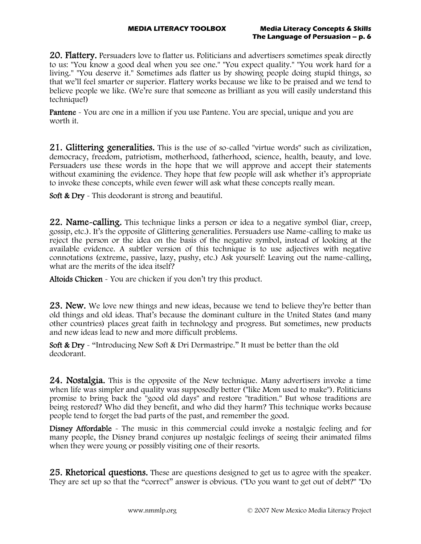20. Flattery. Persuaders love to flatter us. Politicians and advertisers sometimes speak directly to us: "You know a good deal when you see one." "You expect quality." "You work hard for a living." "You deserve it." Sometimes ads flatter us by showing people doing stupid things, so that we'll feel smarter or superior. Flattery works because we like to be praised and we tend to believe people we like. (We're sure that someone as brilliant as you will easily understand this technique!)

Pantene - You are one in a million if you use Pantene. You are special, unique and you are worth it.

21. Glittering generalities. This is the use of so-called "virtue words" such as civilization, democracy, freedom, patriotism, motherhood, fatherhood, science, health, beauty, and love. Persuaders use these words in the hope that we will approve and accept their statements without examining the evidence. They hope that few people will ask whether it's appropriate to invoke these concepts, while even fewer will ask what these concepts really mean.

Soft & Dry - This deodorant is strong and beautiful.

22. Name-calling. This technique links a person or idea to a negative symbol (liar, creep, gossip, etc.). It's the opposite of Glittering generalities. Persuaders use Name-calling to make us reject the person or the idea on the basis of the negative symbol, instead of looking at the available evidence. A subtler version of this technique is to use adjectives with negative connotations (extreme, passive, lazy, pushy, etc.) Ask yourself: Leaving out the name-calling, what are the merits of the idea itself?

Altoids Chicken - You are chicken if you don't try this product.

**23. New.** We love new things and new ideas, because we tend to believe they're better than old things and old ideas. That's because the dominant culture in the United States (and many other countries) places great faith in technology and progress. But sometimes, new products and new ideas lead to new and more difficult problems.

Soft & Dry - "Introducing New Soft & Dri Dermastripe." It must be better than the old deodorant.

**24. Nostalgia.** This is the opposite of the New technique. Many advertisers invoke a time when life was simpler and quality was supposedly better ("like Mom used to make"). Politicians promise to bring back the "good old days" and restore "tradition." But whose traditions are being restored? Who did they benefit, and who did they harm? This technique works because people tend to forget the bad parts of the past, and remember the good.

Disney Affordable - The music in this commercial could invoke a nostalgic feeling and for many people, the Disney brand conjures up nostalgic feelings of seeing their animated films when they were young or possibly visiting one of their resorts.

25. Rhetorical questions. These are questions designed to get us to agree with the speaker. They are set up so that the "correct" answer is obvious. ("Do you want to get out of debt?" "Do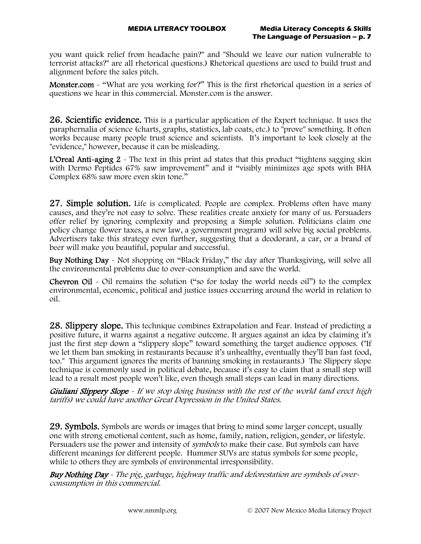you want quick relief from headache pain?" and "Should we leave our nation vulnerable to terrorist attacks?" are all rhetorical questions.) Rhetorical questions are used to build trust and alignment before the sales pitch.

Monster.com - "What are you working for?" This is the first rhetorical question in a series of questions we hear in this commercial. Monster.com is the answer.

**26. Scientific evidence.** This is a particular application of the Expert technique. It uses the paraphernalia of science (charts, graphs, statistics, lab coats, etc.) to "prove" something. It often works because many people trust science and scientists. It's important to look closely at the "evidence," however, because it can be misleading.

**L'Oreal Anti-aging 2**  $\sim$  The text in this print ad states that this product "tightens sagging skin" with Dermo Peptides 67% saw improvement" and it "visibly minimizes age spots with BHA Complex 68% saw more even skin tone."

**27. Simple solution.** Life is complicated. People are complex. Problems often have many causes, and they're not easy to solve. These realities create anxiety for many of us. Persuaders offer relief by ignoring complexity and proposing a Simple solution. Politicians claim one policy change (lower taxes, a new law, a government program) will solve big social problems. Advertisers take this strategy even further, suggesting that a deodorant, a car, or a brand of beer will make you beautiful, popular and successful.

Buy Nothing Day - Not shopping on "Black Friday," the day after Thanksgiving, will solve all the environmental problems due to over-consumption and save the world.

Chevron Oil - Oil remains the solution ("so for today the world needs oil") to the complex environmental, economic, political and justice issues occurring around the world in relation to oil.

28. Slippery slope. This technique combines Extrapolation and Fear. Instead of predicting a positive future, it warns against a negative outcome. It argues against an idea by claiming it's just the first step down a "slippery slope" toward something the target audience opposes. ("If we let them ban smoking in restaurants because it's unhealthy, eventually they'll ban fast food, too." This argument ignores the merits of banning smoking in restaurants.) The Slippery slope technique is commonly used in political debate, because it's easy to claim that a small step will lead to a result most people won't like, even though small steps can lead in many directions.

Giuliani Slippery Slope - If we stop doing business with the rest of the world (and erect high tariffs) we could have another Great Depression in the United States.

29. Symbols. Symbols are words or images that bring to mind some larger concept, usually one with strong emotional content, such as home, family, nation, religion, gender, or lifestyle. Persuaders use the power and intensity of *symbols* to make their case. But symbols can have different meanings for different people. Hummer SUVs are status symbols for some people, while to others they are symbols of environmental irresponsibility.

Buy Nothing Day - The pig, garbage, highway traffic and deforestation are symbols of overconsumption in this commercial.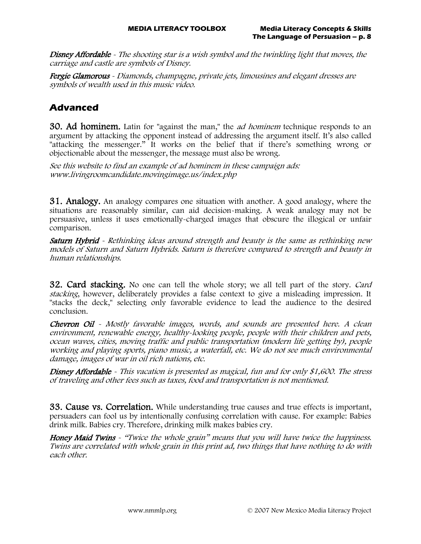Disney Affordable - The shooting star is a wish symbol and the twinkling light that moves, the carriage and castle are symbols of Disney.

Fergie Glamorous - Diamonds, champagne, private jets, limousines and elegant dresses are symbols of wealth used in this music video.

## **Advanced**

**30. Ad hominem.** Latin for "against the man," the *ad hominem* technique responds to an argument by attacking the opponent instead of addressing the argument itself. It's also called "attacking the messenger." It works on the belief that if there's something wrong or objectionable about the messenger, the message must also be wrong.

See this website to find an example of ad hominem in these campaign ads: www.livingroomcandidate.movingimage.us/index.php

**31. Analogy.** An analogy compares one situation with another. A good analogy, where the situations are reasonably similar, can aid decision-making. A weak analogy may not be persuasive, unless it uses emotionally-charged images that obscure the illogical or unfair comparison.

Saturn Hybrid - Rethinking ideas around strength and beauty is the same as rethinking new models of Saturn and Saturn Hybrids. Saturn is therefore compared to strength and beauty in human relationships.

**32. Card stacking.** No one can tell the whole story; we all tell part of the story. *Card* stacking, however, deliberately provides a false context to give a misleading impression. It "stacks the deck," selecting only favorable evidence to lead the audience to the desired conclusion.

Chevron Oil - Mostly favorable images, words, and sounds are presented here. A clean environment, renewable energy, healthy-looking people, people with their children and pets, ocean waves, cities, moving traffic and public transportation (modern life getting by), people working and playing sports, piano music, a waterfall, etc. We do not see much environmental damage, images of war in oil rich nations, etc.

Disney Affordable - This vacation is presented as magical, fun and for only \$1,600. The stress of traveling and other fees such as taxes, food and transportation is not mentioned.

**33. Cause vs. Correlation.** While understanding true causes and true effects is important, persuaders can fool us by intentionally confusing correlation with cause. For example: Babies drink milk. Babies cry. Therefore, drinking milk makes babies cry.

Honey Maid Twins - "Twice the whole grain" means that you will have twice the happiness. Twins are correlated with whole grain in this print ad, two things that have nothing to do with each other.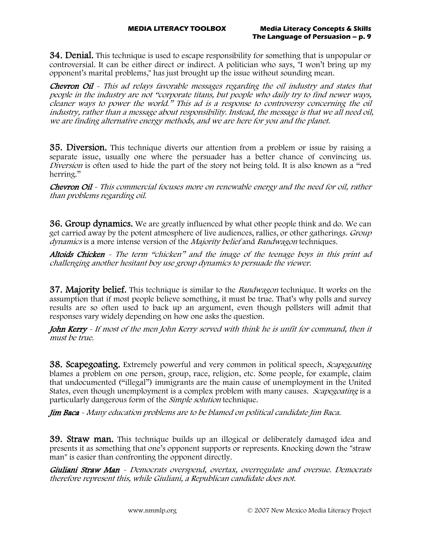**34. Denial.** This technique is used to escape responsibility for something that is unpopular or controversial. It can be either direct or indirect. A politician who says, "I won't bring up my opponent's marital problems," has just brought up the issue without sounding mean.

Chevron Oil - This ad relays favorable messages regarding the oil industry and states that people in the industry are not "corporate titans, but people who daily try to find newer ways, cleaner ways to power the world." This ad is a response to controversy concerning the oil industry, rather than a message about responsibility. Instead, the message is that we all need oil, we are finding alternative energy methods, and we are here for you and the planet.

35. Diversion. This technique diverts our attention from a problem or issue by raising a separate issue, usually one where the persuader has a better chance of convincing us. Diversion is often used to hide the part of the story not being told. It is also known as a "red herring."

Chevron Oil - This commercial focuses more on renewable energy and the need for oil, rather than problems regarding oil.

**36. Group dynamics.** We are greatly influenced by what other people think and do. We can get carried away by the potent atmosphere of live audiences, rallies, or other gatherings. *Group* dynamics is a more intense version of the *Majority belief* and *Bandwagon* techniques.

Altoids Chicken - The term "chicken" and the image of the teenage boys in this print ad challenging another hesitant boy use group dynamics to persuade the viewer.

**37. Majority belief.** This technique is similar to the *Bandwagon* technique. It works on the assumption that if most people believe something, it must be true. That's why polls and survey results are so often used to back up an argument, even though pollsters will admit that responses vary widely depending on how one asks the question.

John Kerry - If most of the men John Kerry served with think he is unfit for command, then it must be true.

**38. Scapegoating.** Extremely powerful and very common in political speech, *Scapegoating* blames a problem on one person, group, race, religion, etc. Some people, for example, claim that undocumented ("illegal") immigrants are the main cause of unemployment in the United States, even though unemployment is a complex problem with many causes. Scapegoating is a particularly dangerous form of the Simple solution technique.

Jim Baca - Many education problems are to be blamed on political candidate Jim Baca.

**39. Straw man.** This technique builds up an illogical or deliberately damaged idea and presents it as something that one's opponent supports or represents. Knocking down the "straw man" is easier than confronting the opponent directly.

Giuliani Straw Man - Democrats overspend, overtax, overregulate and oversue. Democrats therefore represent this, while Giuliani, a Republican candidate does not.